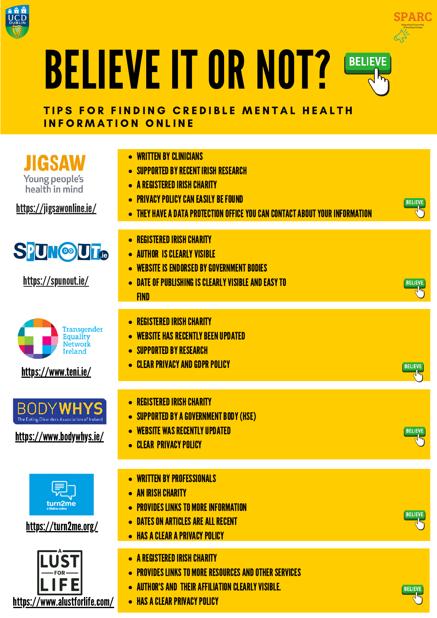



## BELIEVE IT OR NOT[?](https://www.ucd.ie/studentadvisers/) **BELIEVE**

#### TIPS FOR FINDING CREDIBLE MENTAL HEALTH INFORMATION ONLINE

**JIGSAW** Young people's health in mind

<https://jigsawonline.ie/>

## **SPUN©UT**

<https://spunout.ie/>

- **WRITTEN BY CLINICIANS**
- SUPPORTED BY RECENT IRISH RESEARCH
- **A REGISTERED IRISH CHARITY**
- **PRIVACY POLICY CAN EASILY BE FOUND**
- THEY HAVE A DATA PROTECTION OFFICE YOU CAN CONTACT ABOUT YOUR INFORMATION



**BELIEVE** 

- REGISTERED IRISH CHARITY
- **AUTHOR IS CLEARLY VISIBLE**
- WEBSITE IS ENDORSED BY GOVERNMENT BODIES
- DATE OF PUBLISHING IS CLEARLY VISIBLE AND EASY TO

**FIND** 

REGISTERED IRISH CHARITY



#### <https://www.teni.ie/>

**BODYWHYS** The Eating Disorders Association of Ireland

### <https://www.bodywhys.ie/>



### <https://turn2me.org/>



- WEBSITE HAS RECENTLY BEEN UPDATED
- SUPPORTED BY RESEARCH
- **CLEAR PRIVACY AND GDPR POLICY**
- REGISTERED IRISH CHARITY
- SUPPORTED BY A GOVERNMENT BODY (HSE)
- WEBSITE WAS RECENTLY UPDATED
- **CLEAR PRIVACY POLICY**
- WRITTEN BY PROFESSIONALS
- **AN IRISH CHARITY**
- **PROVIDES LINKS TO MORE INFORMATION**
- **DATES ON ARTICLES ARE ALL RECENT**
- **HAS A CLEAR A PRIVACY POLICY**
- **A REGISTERED IRISH CHARITY**
- **PROVIDES LINKS TO MORE RESOURCES AND OTHER SERVICES**
- **AUTHOR'S AND THEIR AFFILIATION CLEARLY VISIBLE.**
- **HAS A CLEAR PRIVACY POLICY**







**BELIEVE**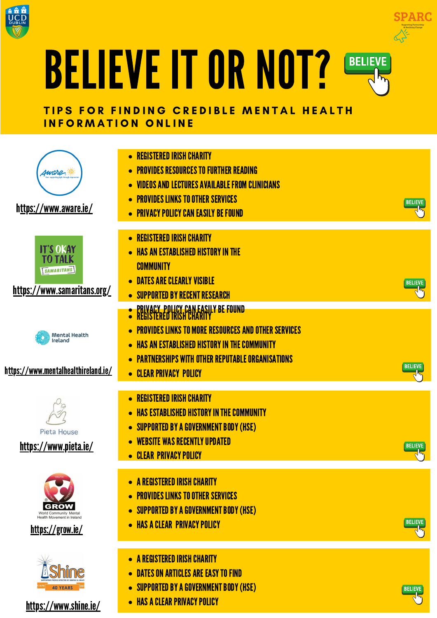



## BELIEVE IT OR NOT[?](https://www.ucd.ie/studentadvisers/) **BELIEVE**

#### TIPS FOR FINDING CREDIBLE MENTAL HEALTH INFORMATION ONLINE



#### [https://www.aware.ie/](http://www.aware.ie/)



<https://www.samaritans.org/>

- REGISTERED IRISH CHARITY
- **PROVIDES RESOURCES TO FURTHER READING**
- VIDEOSANDLECTURESAVAILABLE FROM CLINICIANS
- **PROVIDES LINKS TO OTHER SERVICES**
- **PRIVACY POLICY CAN EASILY BE FOUND**
- **REGISTERED IRISH CHARITY**
- **HAS AN ESTABLISHED HISTORY IN THE COMMUNITY**
- **DATES ARE CLEARLY VISIBLE**
- SUPPORTED BY RECENT RESEARCH
- PRIVACY, POLICY CAN EASILY BE FOUND REGISTERED TRISH CHARITY
- **PROVIDES LINKS TO MORE RESOURCES AND OTHER SERVICES**



**BELIEVE** 



#### h[ttps://www.mentalhealthireland.ie/](https://www.mentalhealthireland.ie/)



<https://www.pieta.ie/>







<https://www.shine.ie/>

- **HAS AN ESTABLISHED HISTORY IN THE COMMUNITY**
- **PARTNERSHIPS WITH OTHER REPUTABLE ORGANISATIONS**
- **CLEAR PRIVACY POLICY**
- REGISTERED IRISH CHARITY
- **HAS ESTABLISHED HISTORY IN THE COMMUNITY**
- SUPPORTED BY A GOVERNMENT BODY (HSE)
- WEBSITE WAS RECENTLY UPDATED
- **CLEAR PRIVACY POLICY**  $\bullet$
- **A REGISTERED IRISH CHARITY**
- **PROVIDES LINKS TO OTHER SERVICES**
- SUPPORTED BY A GOVERNMENT BODY (HSE)
- **HAS A CLEAR PRIVACY POLICY**
- A REGISTERED IRISH CHARITY
- DATES ON ARTICLES ARE EASY TO FIND
- SUPPORTED BY A GOVERNMENT BODY (HSE)
- **HAS A CLEAR PRIVACY POLICY**







**BELIEVE**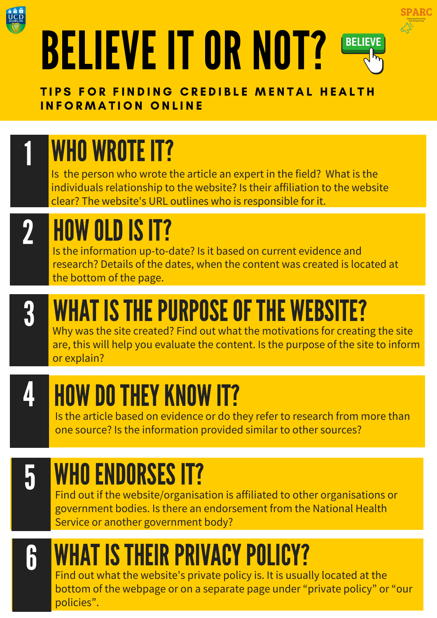



TIPS FOR FINDING CREDIBLE MENTAL HEALTH INFORMATION ONLINE

Is the person who wrote the article an expert in the field? What is the individuals relationship to the website? Is their affiliation to the website clear? The website's URL outlines who is responsible for it.

### HOW OLDISIT? 2

## WHO WROTE IT? 1

Why was the site created? Find out what the motivations for creating the site are, this will help you evaluate the content. Is the purpose of the site to inform or explain?



# WHAT IS THE PURPOSE OF THE WEBSITE?



# HOW DO THEY KNOW IT?

Is the information up-to-date? Is it based on current evidence and research? Details of the dates, when the content was created is located at the bottom of the page.

Find out what the website's private policy is. It is usually located at the bottom of the webpage or on a separate page under "private policy" or "our policies".



## WHO ENDORSES IT?

Is the article based on evidence or do they refer to research from more than one source? Is the information provided similar to other sources?



# WHAT IS THEIR PRIVACY POLICY?

Find out if the website/organisation is affiliated to other organisations or government bodies. Is there an endorsement from the National Health Service or another government body?